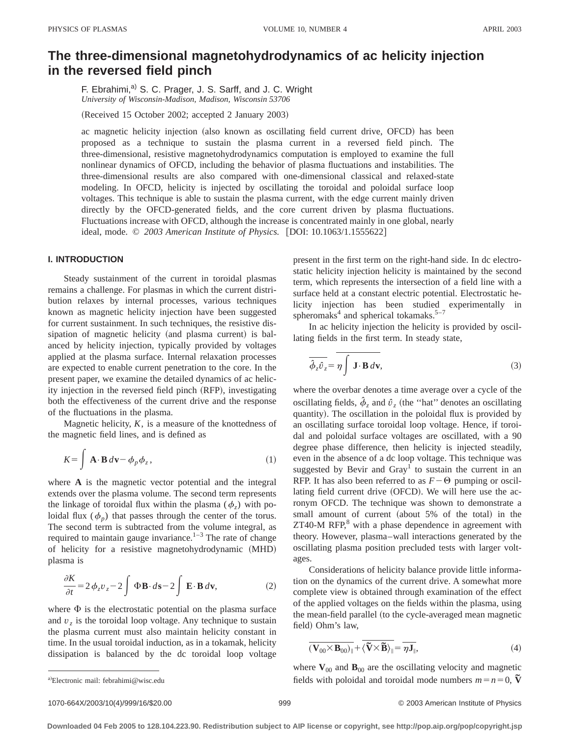# **The three-dimensional magnetohydrodynamics of ac helicity injection in the reversed field pinch**

F. Ebrahimi,<sup>a)</sup> S. C. Prager, J. S. Sarff, and J. C. Wright *University of Wisconsin-Madison, Madison, Wisconsin 53706*

(Received 15 October 2002; accepted 2 January 2003)

ac magnetic helicity injection (also known as oscillating field current drive, OFCD) has been proposed as a technique to sustain the plasma current in a reversed field pinch. The three-dimensional, resistive magnetohydrodynamics computation is employed to examine the full nonlinear dynamics of OFCD, including the behavior of plasma fluctuations and instabilities. The three-dimensional results are also compared with one-dimensional classical and relaxed-state modeling. In OFCD, helicity is injected by oscillating the toroidal and poloidal surface loop voltages. This technique is able to sustain the plasma current, with the edge current mainly driven directly by the OFCD-generated fields, and the core current driven by plasma fluctuations. Fluctuations increase with OFCD, although the increase is concentrated mainly in one global, nearly ideal, mode. © 2003 American Institute of Physics. [DOI: 10.1063/1.1555622]

# **I. INTRODUCTION**

Steady sustainment of the current in toroidal plasmas remains a challenge. For plasmas in which the current distribution relaxes by internal processes, various techniques known as magnetic helicity injection have been suggested for current sustainment. In such techniques, the resistive dissipation of magnetic helicity (and plasma current) is balanced by helicity injection, typically provided by voltages applied at the plasma surface. Internal relaxation processes are expected to enable current penetration to the core. In the present paper, we examine the detailed dynamics of ac helicity injection in the reversed field pinch (RFP), investigating both the effectiveness of the current drive and the response of the fluctuations in the plasma.

Magnetic helicity,  $K$ , is a measure of the knottedness of the magnetic field lines, and is defined as

$$
K = \int \mathbf{A} \cdot \mathbf{B} \, d\mathbf{v} - \phi_p \phi_z, \tag{1}
$$

where **A** is the magnetic vector potential and the integral extends over the plasma volume. The second term represents the linkage of toroidal flux within the plasma ( $\phi$ <sub>z</sub>) with poloidal flux  $(\phi_p)$  that passes through the center of the torus. The second term is subtracted from the volume integral, as required to maintain gauge invariance.<sup>1–3</sup> The rate of change of helicity for a resistive magnetohydrodynamic (MHD) plasma is

$$
\frac{\partial K}{\partial t} = 2\,\phi_z v_z - 2\int \Phi \mathbf{B} \cdot d\mathbf{s} - 2\int \mathbf{E} \cdot \mathbf{B} \,d\mathbf{v},\tag{2}
$$

where  $\Phi$  is the electrostatic potential on the plasma surface and  $v<sub>z</sub>$  is the toroidal loop voltage. Any technique to sustain the plasma current must also maintain helicity constant in time. In the usual toroidal induction, as in a tokamak, helicity dissipation is balanced by the dc toroidal loop voltage present in the first term on the right-hand side. In dc electrostatic helicity injection helicity is maintained by the second term, which represents the intersection of a field line with a surface held at a constant electric potential. Electrostatic helicity injection has been studied experimentally in spheromaks $4$  and spherical tokamaks.<sup>5–7</sup>

In ac helicity injection the helicity is provided by oscillating fields in the first term. In steady state,

$$
\overline{\phi_z \hat{v}_z} = \overline{\eta \int \mathbf{J} \cdot \mathbf{B} \, d\mathbf{v}},\tag{3}
$$

where the overbar denotes a time average over a cycle of the oscillating fields,  $\hat{\phi}_z$  and  $\hat{v}_z$  (the "hat" denotes an oscillating quantity). The oscillation in the poloidal flux is provided by an oscillating surface toroidal loop voltage. Hence, if toroidal and poloidal surface voltages are oscillated, with a 90 degree phase difference, then helicity is injected steadily, even in the absence of a dc loop voltage. This technique was suggested by Bevir and  $\text{Gray}^{\text{T}}$  to sustain the current in an RFP. It has also been referred to as  $F-\Theta$  pumping or oscillating field current drive (OFCD). We will here use the acronym OFCD. The technique was shown to demonstrate a small amount of current (about 5% of the total) in the  $ZT40-M RFP<sub>1</sub><sup>8</sup>$  with a phase dependence in agreement with theory. However, plasma–wall interactions generated by the oscillating plasma position precluded tests with larger voltages.

Considerations of helicity balance provide little information on the dynamics of the current drive. A somewhat more complete view is obtained through examination of the effect of the applied voltages on the fields within the plasma, using the mean-field parallel (to the cycle-averaged mean magnetic field) Ohm's law,

$$
\overline{(\mathbf{V}_{00} \times \mathbf{B}_{00})_{\parallel}} + \overline{\langle \widetilde{\mathbf{V}} \times \widetilde{\mathbf{B}} \rangle_{\parallel}} = \overline{\eta \mathbf{J}_{\parallel}},
$$
\n(4)

where  $\mathbf{V}_{00}$  and  $\mathbf{B}_{00}$  are the oscillating velocity and magnetic fields with poloidal and toroidal mode numbers  $m = n = 0$ ,  $\overline{V}$ 

a)Electronic mail: febrahimi@wisc.edu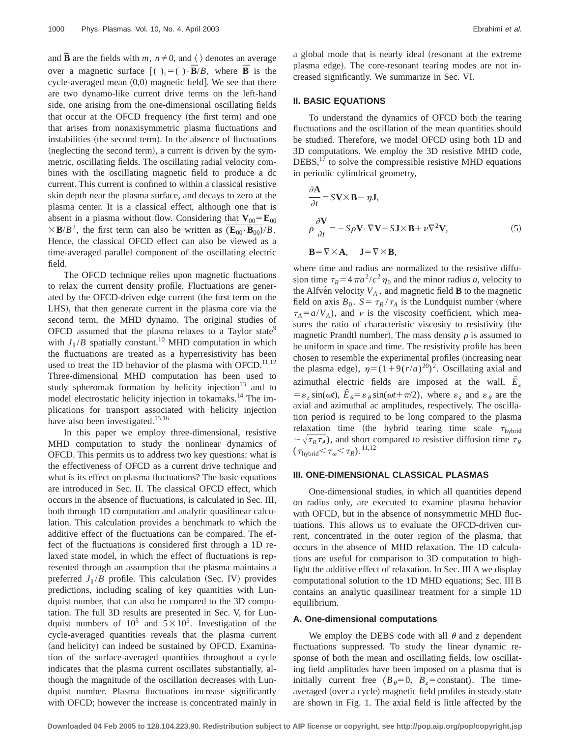and  $\tilde{\mathbf{B}}$  are the fields with *m*,  $n \neq 0$ , and  $\langle \rangle$  denotes an average over a magnetic surface  $\int ( )_{\parallel} = ( ) \cdot \overline{B}/B$ , where  $\overline{B}$  is the cycle-averaged mean  $(0,0)$  magnetic field]. We see that there are two dynamo-like current drive terms on the left-hand side, one arising from the one-dimensional oscillating fields that occur at the OFCD frequency (the first term) and one that arises from nonaxisymmetric plasma fluctuations and instabilities (the second term). In the absence of fluctuations (neglecting the second term), a current is driven by the symmetric, oscillating fields. The oscillating radial velocity combines with the oscillating magnetic field to produce a dc current. This current is confined to within a classical resistive skin depth near the plasma surface, and decays to zero at the plasma center. It is a classical effect, although one that is absent in a plasma without flow. Considering that  $V_{00} = E_{00}$  $\times$ **B**/*B*<sup>2</sup>, the first term can also be written as  $(\mathbf{E}_{00} \cdot \mathbf{B}_{00})/B$ . Hence, the classical OFCD effect can also be viewed as a time-averaged parallel component of the oscillating electric field.

The OFCD technique relies upon magnetic fluctuations to relax the current density profile. Fluctuations are generated by the OFCD-driven edge current (the first term on the LHS), that then generate current in the plasma core via the second term, the MHD dynamo. The original studies of OFCD assumed that the plasma relaxes to a Taylor state<sup>9</sup> with  $J_{\parallel}/B$  spatially constant.<sup>10</sup> MHD computation in which the fluctuations are treated as a hyperresistivity has been used to treat the 1D behavior of the plasma with OFCD.<sup>11,12</sup> Three-dimensional MHD computation has been used to study spheromak formation by helicity injection<sup>13</sup> and to model electrostatic helicity injection in tokamaks.14 The implications for transport associated with helicity injection have also been investigated.<sup>15,16</sup>

In this paper we employ three-dimensional, resistive MHD computation to study the nonlinear dynamics of OFCD. This permits us to address two key questions: what is the effectiveness of OFCD as a current drive technique and what is its effect on plasma fluctuations? The basic equations are introduced in Sec. II. The classical OFCD effect, which occurs in the absence of fluctuations, is calculated in Sec. III, both through 1D computation and analytic quasilinear calculation. This calculation provides a benchmark to which the additive effect of the fluctuations can be compared. The effect of the fluctuations is considered first through a 1D relaxed state model, in which the effect of fluctuations is represented through an assumption that the plasma maintains a preferred  $J_{\parallel}/B$  profile. This calculation (Sec. IV) provides predictions, including scaling of key quantities with Lundquist number, that can also be compared to the 3D computation. The full 3D results are presented in Sec. V, for Lundquist numbers of  $10^5$  and  $5 \times 10^5$ . Investigation of the cycle-averaged quantities reveals that the plasma current (and helicity) can indeed be sustained by OFCD. Examination of the surface-averaged quantities throughout a cycle indicates that the plasma current oscillates substantially, although the magnitude of the oscillation decreases with Lundquist number. Plasma fluctuations increase significantly with OFCD; however the increase is concentrated mainly in a global mode that is nearly ideal (resonant at the extreme plasma edge). The core-resonant tearing modes are not increased significantly. We summarize in Sec. VI.

#### **II. BASIC EQUATIONS**

To understand the dynamics of OFCD both the tearing fluctuations and the oscillation of the mean quantities should be studied. Therefore, we model OFCD using both 1D and 3D computations. We employ the 3D resistive MHD code,  $DEBS<sub>1</sub><sup>17</sup>$  to solve the compressible resistive MHD equations in periodic cylindrical geometry,

$$
\frac{\partial \mathbf{A}}{\partial t} = S\mathbf{V} \times \mathbf{B} - \eta \mathbf{J},
$$
  
\n
$$
\rho \frac{\partial \mathbf{V}}{\partial t} = -S\rho \mathbf{V} \cdot \nabla \mathbf{V} + S\mathbf{J} \times \mathbf{B} + \nu \nabla^2 \mathbf{V},
$$
  
\n
$$
\mathbf{B} = \nabla \times \mathbf{A}, \quad \mathbf{J} = \nabla \times \mathbf{B},
$$
\n(5)

where time and radius are normalized to the resistive diffusion time  $\tau_R = 4\pi a^2/c^2 \eta_0$  and the minor radius *a*, velocity to the Alfve<sup>n</sup> velocity  $V_A$ , and magnetic field **B** to the magnetic field on axis  $B_0$ .  $S = \frac{\tau_R}{\tau_A}$  is the Lundquist number (where  $\tau_A = a/V_A$ ), and v is the viscosity coefficient, which measures the ratio of characteristic viscosity to resistivity (the magnetic Prandtl number). The mass density  $\rho$  is assumed to be uniform in space and time. The resistivity profile has been chosen to resemble the experimental profiles (increasing near the plasma edge),  $\eta = (1+9(r/a)^{20})^2$ . Oscillating axial and azimuthal electric fields are imposed at the wall,  $\hat{E}_z$  $= \varepsilon$ ,  $\sin(\omega t)$ ,  $\hat{E}_{\theta} = \varepsilon_{\theta} \sin(\omega t + \pi/2)$ , where  $\varepsilon$ , and  $\varepsilon_{\theta}$  are the axial and azimuthal ac amplitudes, respectively. The oscillation period is required to be long compared to the plasma relaxation time (the hybrid tearing time scale  $\tau_{\text{hybrid}}$  $\sim \sqrt{\tau_R \tau_A}$ , and short compared to resistive diffusion time  $\tau_R$  $(\tau_{\text{hybrid}} < \tau_{\omega} < \tau_R)$ .<sup>11,12</sup>

## **III. ONE-DIMENSIONAL CLASSICAL PLASMAS**

One-dimensional studies, in which all quantities depend on radius only, are executed to examine plasma behavior with OFCD, but in the absence of nonsymmetric MHD fluctuations. This allows us to evaluate the OFCD-driven current, concentrated in the outer region of the plasma, that occurs in the absence of MHD relaxation. The 1D calculations are useful for comparison to 3D computation to highlight the additive effect of relaxation. In Sec. III A we display computational solution to the 1D MHD equations; Sec. III B contains an analytic quasilinear treatment for a simple 1D equilibrium.

# **A. One-dimensional computations**

We employ the DEBS code with all  $\theta$  and  $\zeta$  dependent fluctuations suppressed. To study the linear dynamic response of both the mean and oscillating fields, low oscillating field amplitudes have been imposed on a plasma that is initially current free  $(B_\theta=0, B_z=\text{constant})$ . The timeaveraged (over a cycle) magnetic field profiles in steady-state are shown in Fig. 1. The axial field is little affected by the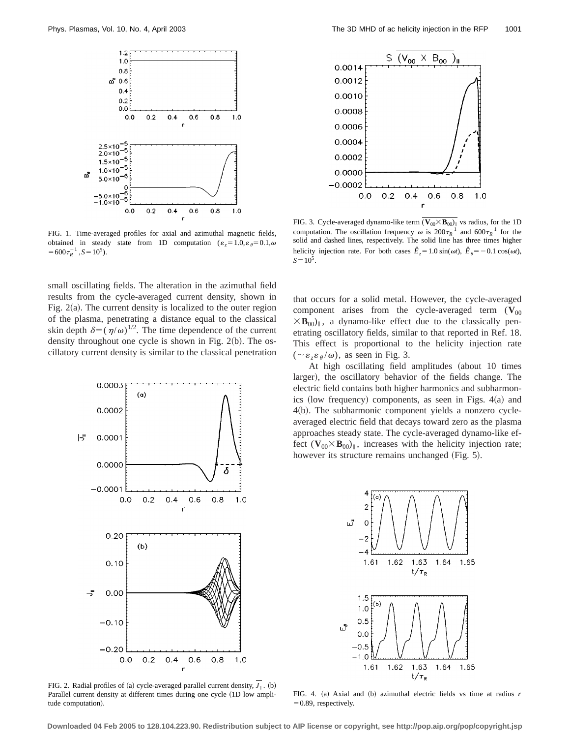

FIG. 1. Time-averaged profiles for axial and azimuthal magnetic fields, obtained in steady state from 1D computation  $(\varepsilon_z=1.0, \varepsilon_\theta=0.1, \omega$  $=600\tau_R^{-1}$ ,  $S=10^5$ ).

small oscillating fields. The alteration in the azimuthal field results from the cycle-averaged current density, shown in Fig.  $2(a)$ . The current density is localized to the outer region of the plasma, penetrating a distance equal to the classical skin depth  $\delta = (\eta/\omega)^{1/2}$ . The time dependence of the current density throughout one cycle is shown in Fig.  $2(b)$ . The oscillatory current density is similar to the classical penetration



FIG. 2. Radial profiles of (a) cycle-averaged parallel current density,  $J_{\parallel}$ . (b) Parallel current density at different times during one cycle (1D low amplitude computation).



FIG. 3. Cycle-averaged dynamo-like term  $(\mathbf{V}_{00} \times \mathbf{B}_{00})_{\parallel}$  vs radius, for the 1D computation. The oscillation frequency  $\omega$  is  $200\tau_R^{-1}$  and  $600\tau_R^{-1}$  for the solid and dashed lines, respectively. The solid line has three times higher helicity injection rate. For both cases  $\hat{E}_z = 1.0 \sin(\omega t)$ ,  $\hat{E}_\theta = -0.1 \cos(\omega t)$ ,  $S=10^5$ .

that occurs for a solid metal. However, the cycle-averaged component arises from the cycle-averaged term  $(V_{00}$  $\times$ **B**<sub>00</sub>)<sub>i</sub>, a dynamo-like effect due to the classically penetrating oscillatory fields, similar to that reported in Ref. 18. This effect is proportional to the helicity injection rate  $(\sim \varepsilon_{\varepsilon} \varepsilon_{\theta}/\omega)$ , as seen in Fig. 3.

At high oscillating field amplitudes (about 10 times larger), the oscillatory behavior of the fields change. The electric field contains both higher harmonics and subharmonics (low frequency) components, as seen in Figs.  $4(a)$  and 4(b). The subharmonic component yields a nonzero cycleaveraged electric field that decays toward zero as the plasma approaches steady state. The cycle-averaged dynamo-like effect  $(\mathbf{V}_{00} \times \mathbf{B}_{00})_{\parallel}$ , increases with the helicity injection rate; however its structure remains unchanged (Fig. 5).



FIG. 4. (a) Axial and (b) azimuthal electric fields vs time at radius *r*  $=0.89$ , respectively.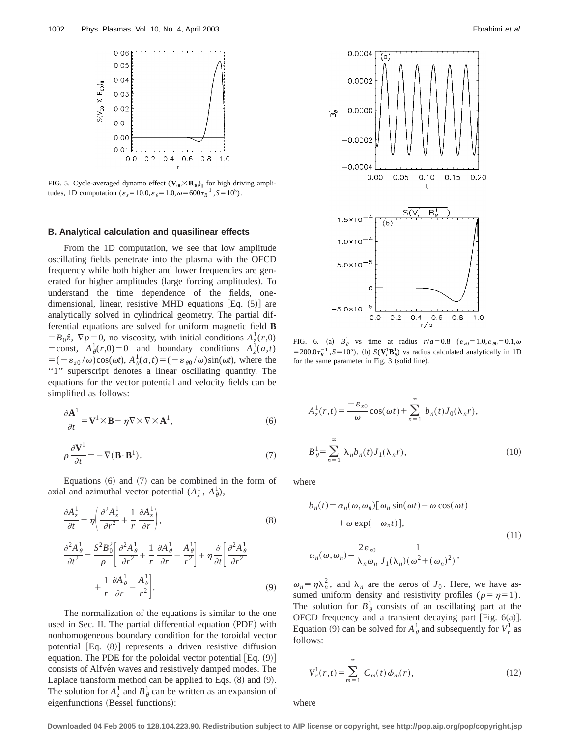

FIG. 5. Cycle-averaged dynamo effect  $(\overline{V_{00} \times B_{00})_{\parallel}}$  for high driving amplitudes, 1D computation ( $\varepsilon_z = 10.0$ ,  $\varepsilon_{\theta} = 1.0$ ,  $\omega = 600 \tau_R^{-1}$ ,  $S = 10^5$ ).

#### **B. Analytical calculation and quasilinear effects**

From the 1D computation, we see that low amplitude oscillating fields penetrate into the plasma with the OFCD frequency while both higher and lower frequencies are generated for higher amplitudes (large forcing amplitudes). To understand the time dependence of the fields, onedimensional, linear, resistive MHD equations  $[Eq. (5)]$  are analytically solved in cylindrical geometry. The partial differential equations are solved for uniform magnetic field **B**  $= B_0 \hat{z}$ ,  $\nabla p = 0$ , no viscosity, with initial conditions  $A_{\hat{z}}^1(r,0)$ = const,  $A^1_\theta(r,0) = 0$  and boundary conditions  $A^{\text{T}}_z(a,t)$  $= (-\varepsilon_{z0} / \omega)\cos(\omega t), A_\theta^1(a,t) = (-\varepsilon_{\theta0} / \omega)\sin(\omega t)$ , where the "1" superscript denotes a linear oscillating quantity. The equations for the vector potential and velocity fields can be simplified as follows:

$$
\frac{\partial \mathbf{A}^1}{\partial t} = \mathbf{V}^1 \times \mathbf{B} - \eta \nabla \times \nabla \times \mathbf{A}^1,\tag{6}
$$

$$
\rho \frac{\partial \mathbf{V}^1}{\partial t} = -\nabla (\mathbf{B} \cdot \mathbf{B}^1). \tag{7}
$$

Equations  $(6)$  and  $(7)$  can be combined in the form of axial and azimuthal vector potential  $(A_z^1, A_\theta^1)$ ,

$$
\frac{\partial A_z^1}{\partial t} = \eta \left( \frac{\partial^2 A_z^1}{\partial r^2} + \frac{1}{r} \frac{\partial A_z^1}{\partial r} \right),\tag{8}
$$

$$
\frac{\partial^2 A^1_{\theta}}{\partial t^2} = \frac{S^2 B_0^2}{\rho} \left[ \frac{\partial^2 A^1_{\theta}}{\partial r^2} + \frac{1}{r} \frac{\partial A^1_{\theta}}{\partial r} - \frac{A^1_{\theta}}{r^2} \right] + \eta \frac{\partial}{\partial t} \left[ \frac{\partial^2 A^1_{\theta}}{\partial r^2} + \frac{1}{r} \frac{\partial A^1_{\theta}}{\partial r} - \frac{A^1_{\theta}}{r^2} \right].
$$
\n(9)

The normalization of the equations is similar to the one used in Sec. II. The partial differential equation (PDE) with nonhomogeneous boundary condition for the toroidal vector potential  $[Eq. (8)]$  represents a driven resistive diffusion equation. The PDE for the poloidal vector potential  $[Eq. (9)]$ consists of Alfvén waves and resistively damped modes. The Laplace transform method can be applied to Eqs.  $(8)$  and  $(9)$ . The solution for  $A^1_z$  and  $B^1_\theta$  can be written as an expansion of eigenfunctions (Bessel functions):



FIG. 6. (a)  $B_\theta^1$  vs time at radius  $r/a = 0.8$  ( $\varepsilon_{z0} = 1.0$ ,  $\varepsilon_{\theta 0} = 0.1$ ,  $\omega$  $= 200.0 \tau_R^{-1}$ ,  $S = 10^5$ ). (b)  $S(\overline{V_r^l} \overline{B_0^l})$  vs radius calculated analytically in 1D for the same parameter in Fig. 3 (solid line).

$$
A_z^1(r,t) = \frac{-\varepsilon_{z0}}{\omega} \cos(\omega t) + \sum_{n=1}^{\infty} b_n(t) J_0(\lambda_n r),
$$
  

$$
B_{\theta}^1 = \sum_{n=1}^{\infty} \lambda_n b_n(t) J_1(\lambda_n r),
$$
 (10)

where

$$
b_n(t) = \alpha_n(\omega, \omega_n) [\omega_n \sin(\omega t) - \omega \cos(\omega t)
$$
  
+  $\omega \exp(-\omega_n t)],$   

$$
\alpha_n(\omega, \omega_n) = \frac{2\varepsilon_{z0}}{\lambda_n \omega_n} \frac{1}{J_1(\lambda_n)(\omega^2 + (\omega_n)^2)},
$$
 (11)

 $\omega_n = \eta \lambda_n^2$ , and  $\lambda_n$  are the zeros of *J*<sub>0</sub>. Here, we have assumed uniform density and resistivity profiles ( $\rho = \eta = 1$ ). The solution for  $B^1_{\theta}$  consists of an oscillating part at the OFCD frequency and a transient decaying part [Fig.  $6(a)$ ]. Equation (9) can be solved for  $A^1_\theta$  and subsequently for  $V^1_r$  as follows:

$$
V_r^1(r,t) = \sum_{m=1}^{\infty} C_m(t) \phi_m(r),
$$
 (12)

where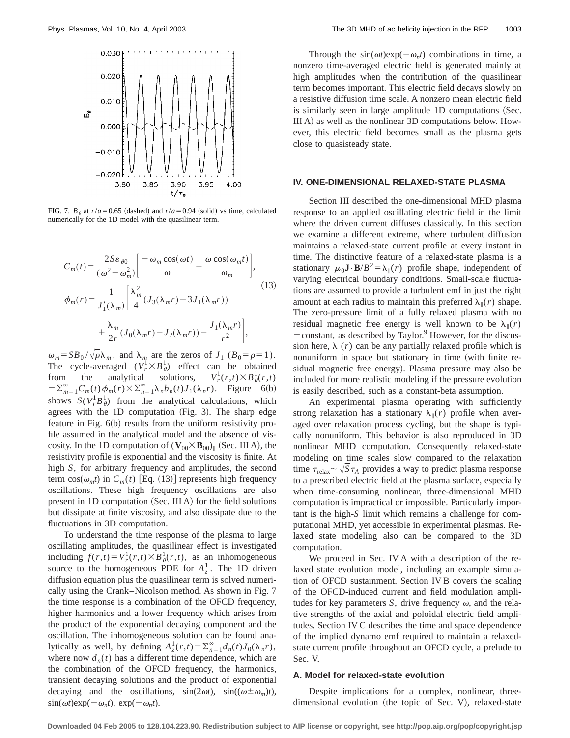

FIG. 7.  $B_{\theta}$  at  $r/a = 0.65$  (dashed) and  $r/a = 0.94$  (solid) vs time, calculated numerically for the 1D model with the quasilinear term.

$$
C_m(t) = \frac{2Se_{\theta 0}}{(\omega^2 - \omega_m^2)} \left[ \frac{-\omega_m \cos(\omega t)}{\omega} + \frac{\omega \cos(\omega_m t)}{\omega_m} \right],
$$
  
\n
$$
\phi_m(r) = \frac{1}{J'_1(\lambda_m)} \left[ \frac{\lambda_m^2}{4} (J_3(\lambda_m r) - 3J_1(\lambda_m r)) + \frac{\lambda_m}{2r} (J_0(\lambda_m r) - J_2(\lambda_m r)) - \frac{J_1(\lambda_m r)}{r^2} \right],
$$
\n(13)

 $\omega_m = SB_0 / \sqrt{\rho} \lambda_m$ , and  $\lambda_m$  are the zeros of  $J_1$  ( $B_0 = \rho = 1$ ). The cycle-averaged  $(V_r^1 \times B_\theta^1)$  effect can be obtained from the analytical solutions,  $V_r^1$  $\frac{1}{r}(r,t)\times B^1_{\theta}(r,t)$  $= \sum_{m=1}^{\infty} C_m(t) \phi_m(r) \times \sum_{n=1}^{\infty} \lambda_n b_n(t) J_1(\lambda_n r)$ . Figure 6(b) shows  $S(\overline{V_r^1B_\theta^1})$  from the analytical calculations, which agrees with the  $1D$  computation (Fig. 3). The sharp edge feature in Fig.  $6(b)$  results from the uniform resistivity profile assumed in the analytical model and the absence of viscosity. In the 1D computation of  $(\mathbf{V}_{00} \times \mathbf{B}_{00})_{\parallel}$  (Sec. III A), the resistivity profile is exponential and the viscosity is finite. At high *S*, for arbitrary frequency and amplitudes, the second term  $cos(\omega_m t)$  in  $C_m(t)$  [Eq. (13)] represents high frequency oscillations. These high frequency oscillations are also present in 1D computation (Sec. III A) for the field solutions but dissipate at finite viscosity, and also dissipate due to the fluctuations in 3D computation.

To understand the time response of the plasma to large oscillating amplitudes, the quasilinear effect is investigated including  $f(r,t) = V_r^1(r,t) \times B_\theta^1(r,t)$ , as an inhomogeneous source to the homogeneous PDE for  $A^1_\zeta$ . The 1D driven diffusion equation plus the quasilinear term is solved numerically using the Crank–Nicolson method. As shown in Fig. 7 the time response is a combination of the OFCD frequency, higher harmonics and a lower frequency which arises from the product of the exponential decaying component and the oscillation. The inhomogeneous solution can be found analytically as well, by defining  $A_z^1(r,t) = \sum_{n=1}^{\infty} d_n(t) J_0(\lambda_n r)$ , where now  $d_n(t)$  has a different time dependence, which are the combination of the OFCD frequency, the harmonics, transient decaying solutions and the product of exponential decaying and the oscillations,  $sin(2\omega t)$ ,  $sin((\omega \pm \omega_m)t)$ ,  $\sin(\omega t) \exp(-\omega_n t)$ ,  $\exp(-\omega_n t)$ .

Through the  $sin(\omega t)exp(-\omega_n t)$  combinations in time, a nonzero time-averaged electric field is generated mainly at high amplitudes when the contribution of the quasilinear term becomes important. This electric field decays slowly on a resistive diffusion time scale. A nonzero mean electric field is similarly seen in large amplitude 1D computations (Sec. III A) as well as the nonlinear  $3D$  computations below. However, this electric field becomes small as the plasma gets close to quasisteady state.

# **IV. ONE-DIMENSIONAL RELAXED-STATE PLASMA**

Section III described the one-dimensional MHD plasma response to an applied oscillating electric field in the limit where the driven current diffuses classically. In this section we examine a different extreme, where turbulent diffusion maintains a relaxed-state current profile at every instant in time. The distinctive feature of a relaxed-state plasma is a stationary  $\mu_0 \mathbf{J} \cdot \mathbf{B}/B^2 = \lambda_{\parallel}(r)$  profile shape, independent of varying electrical boundary conditions. Small-scale fluctuations are assumed to provide a turbulent emf in just the right amount at each radius to maintain this preferred  $\lambda_{\parallel}(r)$  shape. The zero-pressure limit of a fully relaxed plasma with no residual magnetic free energy is well known to be  $\lambda_{\parallel}(r)$  $=$  constant, as described by Taylor.<sup>9</sup> However, for the discussion here,  $\lambda_{\parallel}(r)$  can be any partially relaxed profile which is nonuniform in space but stationary in time (with finite residual magnetic free energy). Plasma pressure may also be included for more realistic modeling if the pressure evolution is easily described, such as a constant-beta assumption.

An experimental plasma operating with sufficiently strong relaxation has a stationary  $\lambda_{\parallel}(r)$  profile when averaged over relaxation process cycling, but the shape is typically nonuniform. This behavior is also reproduced in 3D nonlinear MHD computation. Consequently relaxed-state modeling on time scales slow compared to the relaxation time  $\tau_{\text{relax}} \sim \sqrt{S\tau_A}$  provides a way to predict plasma response to a prescribed electric field at the plasma surface, especially when time-consuming nonlinear, three-dimensional MHD computation is impractical or impossible. Particularly important is the high-*S* limit which remains a challenge for computational MHD, yet accessible in experimental plasmas. Relaxed state modeling also can be compared to the 3D computation.

We proceed in Sec. IV A with a description of the relaxed state evolution model, including an example simulation of OFCD sustainment. Section IV B covers the scaling of the OFCD-induced current and field modulation amplitudes for key parameters *S*, drive frequency  $\omega$ , and the relative strengths of the axial and poloidal electric field amplitudes. Section IV C describes the time and space dependence of the implied dynamo emf required to maintain a relaxedstate current profile throughout an OFCD cycle, a prelude to Sec. V.

# **A. Model for relaxed-state evolution**

Despite implications for a complex, nonlinear, threedimensional evolution (the topic of Sec. V), relaxed-state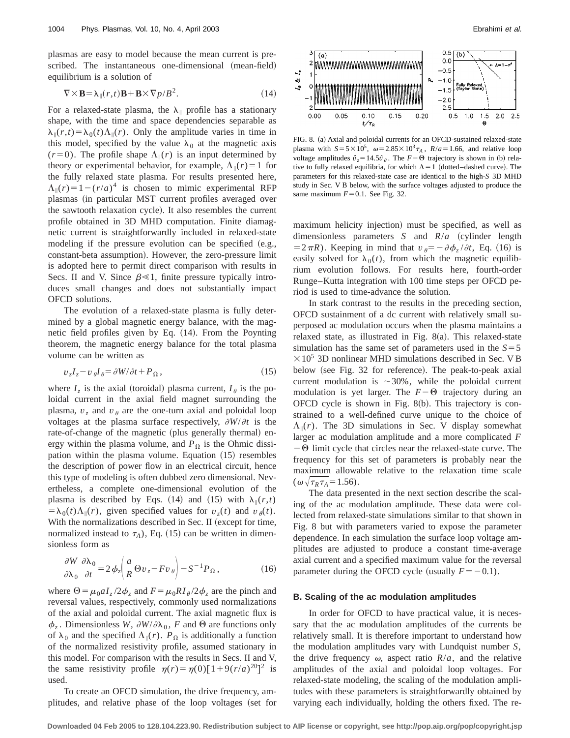plasmas are easy to model because the mean current is prescribed. The instantaneous one-dimensional (mean-field) equilibrium is a solution of

$$
\nabla \times \mathbf{B} = \lambda_{\parallel}(r, t) \mathbf{B} + \mathbf{B} \times \nabla p / B^2.
$$
 (14)

For a relaxed-state plasma, the  $\lambda_{\parallel}$  profile has a stationary shape, with the time and space dependencies separable as  $\lambda_{\parallel}(r,t) = \lambda_0(t) \Lambda_{\parallel}(r)$ . Only the amplitude varies in time in this model, specified by the value  $\lambda_0$  at the magnetic axis  $(r=0)$ . The profile shape  $\Lambda_{\parallel}(r)$  is an input determined by theory or experimental behavior, for example,  $\Lambda_{\parallel}(r)=1$  for the fully relaxed state plasma. For results presented here,  $\Lambda_{\parallel}(r) = 1 - (r/a)^4$  is chosen to mimic experimental RFP plasmas (in particular MST current profiles averaged over the sawtooth relaxation cycle). It also resembles the current profile obtained in 3D MHD computation. Finite diamagnetic current is straightforwardly included in relaxed-state modeling if the pressure evolution can be specified  $(e.g.,)$ constant-beta assumption). However, the zero-pressure limit is adopted here to permit direct comparison with results in Secs. II and V. Since  $\beta \le 1$ , finite pressure typically introduces small changes and does not substantially impact OFCD solutions.

The evolution of a relaxed-state plasma is fully determined by a global magnetic energy balance, with the magnetic field profiles given by Eq.  $(14)$ . From the Poynting theorem, the magnetic energy balance for the total plasma volume can be written as

$$
v_z I_z - v_\theta I_\theta = \partial W / \partial t + P_\Omega, \qquad (15)
$$

where  $I_z$  is the axial (toroidal) plasma current,  $I_\theta$  is the poloidal current in the axial field magnet surrounding the plasma,  $v_z$  and  $v_\theta$  are the one-turn axial and poloidal loop voltages at the plasma surface respectively,  $\partial W/\partial t$  is the rate-of-change of the magnetic (plus generally thermal) energy within the plasma volume, and  $P_{\Omega}$  is the Ohmic dissipation within the plasma volume. Equation  $(15)$  resembles the description of power flow in an electrical circuit, hence this type of modeling is often dubbed zero dimensional. Nevertheless, a complete one-dimensional evolution of the plasma is described by Eqs. (14) and (15) with  $\lambda_{\parallel}(r,t)$  $=$  $\lambda_0(t)\Lambda_{\parallel}(r)$ , given specified values for  $v_2(t)$  and  $v_{\theta}(t)$ . With the normalizations described in Sec. II (except for time, normalized instead to  $\tau_A$ ), Eq. (15) can be written in dimensionless form as

$$
\frac{\partial W}{\partial \lambda_0} \frac{\partial \lambda_0}{\partial t} = 2 \phi_z \left( \frac{a}{R} \Theta v_z - F v_\theta \right) - S^{-1} P_\Omega, \qquad (16)
$$

where  $\Theta = \mu_0 a I_z / 2 \phi_z$  and  $F = \mu_0 R I_\theta / 2 \phi_z$  are the pinch and reversal values, respectively, commonly used normalizations of the axial and poloidal current. The axial magnetic flux is  $\phi_z$ . Dimensionless *W*,  $\partial W/\partial \lambda_0$ , *F* and  $\Theta$  are functions only of  $\lambda_0$  and the specified  $\Lambda_{\parallel}(r)$ .  $P_{\Omega}$  is additionally a function of the normalized resistivity profile, assumed stationary in this model. For comparison with the results in Secs. II and V, the same resistivity profile  $\eta(r) = \eta(0)[1+9(r/a)^{20}]^2$  is used.

To create an OFCD simulation, the drive frequency, amplitudes, and relative phase of the loop voltages (set for



FIG. 8. (a) Axial and poloidal currents for an OFCD-sustained relaxed-state plasma with  $S = 5 \times 10^5$ ,  $\omega = 2.85 \times 10^3 \tau_A$ ,  $R/a = 1.66$ , and relative loop voltage amplitudes  $\hat{v}_z = 14.5\hat{v}_\theta$ . The  $F - \Theta$  trajectory is shown in (b) relative to fully relaxed equilibria, for which  $\Lambda=1$  (dotted–dashed curve). The parameters for this relaxed-state case are identical to the high-*S* 3D MHD study in Sec. V B below, with the surface voltages adjusted to produce the same maximum  $F=0.1$ . See Fig. 32.

maximum helicity injection) must be specified, as well as dimensionless parameters *S* and  $R/a$  (cylinder length  $=2\pi R$ ). Keeping in mind that  $v_{\theta}=-\partial \phi_z/\partial t$ , Eq. (16) is easily solved for  $\lambda_0(t)$ , from which the magnetic equilibrium evolution follows. For results here, fourth-order Runge–Kutta integration with 100 time steps per OFCD period is used to time-advance the solution.

In stark contrast to the results in the preceding section, OFCD sustainment of a dc current with relatively small superposed ac modulation occurs when the plasma maintains a relaxed state, as illustrated in Fig. 8 $(a)$ . This relaxed-state simulation has the same set of parameters used in the  $S=5$  $\times$  10<sup>5</sup> 3D nonlinear MHD simulations described in Sec. V B below (see Fig. 32 for reference). The peak-to-peak axial current modulation is  $\sim$ 30%, while the poloidal current modulation is yet larger. The  $F-\Theta$  trajectory during an OFCD cycle is shown in Fig.  $8(b)$ . This trajectory is constrained to a well-defined curve unique to the choice of  $\Lambda_{\parallel}(r)$ . The 3D simulations in Sec. V display somewhat larger ac modulation amplitude and a more complicated *F*  $-\Theta$  limit cycle that circles near the relaxed-state curve. The frequency for this set of parameters is probably near the maximum allowable relative to the relaxation time scale  $(\omega \sqrt{\tau_R \tau_A} = 1.56)$ .

The data presented in the next section describe the scaling of the ac modulation amplitude. These data were collected from relaxed-state simulations similar to that shown in Fig. 8 but with parameters varied to expose the parameter dependence. In each simulation the surface loop voltage amplitudes are adjusted to produce a constant time-average axial current and a specified maximum value for the reversal parameter during the OFCD cycle (usually  $F = -0.1$ ).

#### **B. Scaling of the ac modulation amplitudes**

In order for OFCD to have practical value, it is necessary that the ac modulation amplitudes of the currents be relatively small. It is therefore important to understand how the modulation amplitudes vary with Lundquist number *S*, the drive frequency  $\omega$ , aspect ratio  $R/a$ , and the relative amplitudes of the axial and poloidal loop voltages. For relaxed-state modeling, the scaling of the modulation amplitudes with these parameters is straightforwardly obtained by varying each individually, holding the others fixed. The re-

**Downloaded 04 Feb 2005 to 128.104.223.90. Redistribution subject to AIP license or copyright, see http://pop.aip.org/pop/copyright.jsp**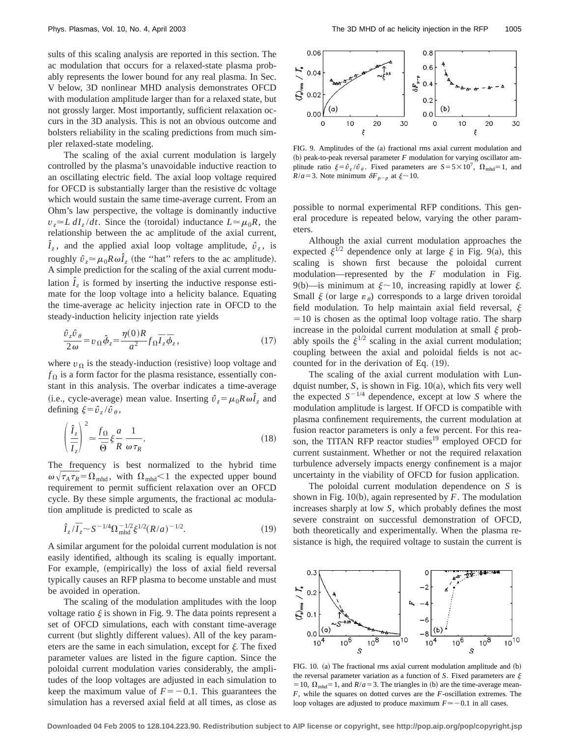sults of this scaling analysis are reported in this section. The ac modulation that occurs for a relaxed-state plasma probably represents the lower bound for any real plasma. In Sec. V below, 3D nonlinear MHD analysis demonstrates OFCD with modulation amplitude larger than for a relaxed state, but not grossly larger. Most importantly, sufficient relaxation occurs in the 3D analysis. This is not an obvious outcome and bolsters reliability in the scaling predictions from much simpler relaxed-state modeling.

The scaling of the axial current modulation is largely controlled by the plasma's unavoidable inductive reaction to an oscillating electric field. The axial loop voltage required for OFCD is substantially larger than the resistive dc voltage which would sustain the same time-average current. From an Ohm's law perspective, the voltage is dominantly inductive  $v_z \approx L dI_z/dt$ . Since the (toroidal) inductance  $L \approx \mu_0 R$ , the relationship between the ac amplitude of the axial current,  $\hat{I}_z$ , and the applied axial loop voltage amplitude,  $\hat{v}_z$ , is roughly  $\hat{v}_z \approx \mu_0 R \omega \hat{I}_z$  (the "hat" refers to the ac amplitude). A simple prediction for the scaling of the axial current modulation  $\hat{I}_z$  is formed by inserting the inductive response estimate for the loop voltage into a helicity balance. Equating the time-average ac helicity injection rate in OFCD to the steady-induction helicity injection rate yields

$$
\frac{\hat{v}_z \hat{v}_\theta}{2\omega} = v_\Omega \hat{\phi}_z = \frac{\eta(0)R}{a^2} f_\Omega \overline{I}_z \overline{\phi}_z, \qquad (17)
$$

where  $v_{\Omega}$  is the steady-induction (resistive) loop voltage and  $f_{\Omega}$  is a form factor for the plasma resistance, essentially constant in this analysis. The overbar indicates a time-average (i.e., cycle-average) mean value. Inserting  $\hat{v}_z = \mu_0 R \omega \hat{I}_z$  and defining  $\xi = \hat{v}_z / \hat{v}_\theta$ ,

$$
\left(\frac{\hat{I}_z}{\overline{I}_z}\right)^2 \simeq \frac{f_\Omega}{\overline{\Theta}} \xi \frac{a}{R} \frac{1}{\omega \tau_R}.
$$
\n(18)

The frequency is best normalized to the hybrid time  $\omega \sqrt{\tau_A \tau_R} = \Omega_{mhd}$ , with  $\Omega_{mhd} < 1$  the expected upper bound requirement to permit sufficient relaxation over an OFCD cycle. By these simple arguments, the fractional ac modulation amplitude is predicted to scale as

$$
\hat{I}_z/\overline{I}_z \sim S^{-1/4} \Omega_{\text{mhd}}^{-1/2} \xi^{1/2} (R/a)^{-1/2}.
$$
 (19)

A similar argument for the poloidal current modulation is not easily identified, although its scaling is equally important. For example, (empirically) the loss of axial field reversal typically causes an RFP plasma to become unstable and must be avoided in operation.

The scaling of the modulation amplitudes with the loop voltage ratio  $\xi$  is shown in Fig. 9. The data points represent a set of OFCD simulations, each with constant time-average current (but slightly different values). All of the key parameters are the same in each simulation, except for  $\xi$ . The fixed parameter values are listed in the figure caption. Since the poloidal current modulation varies considerably, the amplitudes of the loop voltages are adjusted in each simulation to keep the maximum value of  $F = -0.1$ . This guarantees the simulation has a reversed axial field at all times, as close as



FIG. 9. Amplitudes of the (a) fractional rms axial current modulation and  $(b)$  peak-to-peak reversal parameter  $F$  modulation for varying oscillator amplitude ratio  $\xi = \hat{v}_z / \hat{v}_\theta$ . Fixed parameters are  $S = 5 \times 10^7$ ,  $\Omega_{\text{mhd}} = 1$ , and  $R/a = 3$ . Note minimum  $\delta F_{p-p}$  at  $\xi \sim 10$ .

possible to normal experimental RFP conditions. This general procedure is repeated below, varying the other parameters.

Although the axial current modulation approaches the expected  $\xi^{1/2}$  dependence only at large  $\xi$  in Fig. 9(a), this scaling is shown first because the poloidal current modulation—represented by the *F* modulation in Fig. 9(b)—is minimum at  $\xi \sim 10$ , increasing rapidly at lower  $\xi$ . Small  $\xi$  (or large  $\varepsilon_{\theta}$ ) corresponds to a large driven toroidal field modulation. To help maintain axial field reversal,  $\xi$  $=10$  is chosen as the optimal loop voltage ratio. The sharp increase in the poloidal current modulation at small  $\xi$  probably spoils the  $\xi^{1/2}$  scaling in the axial current modulation; coupling between the axial and poloidal fields is not accounted for in the derivation of Eq.  $(19)$ .

The scaling of the axial current modulation with Lundquist number,  $S$ , is shown in Fig.  $10(a)$ , which fits very well the expected  $S^{-1/4}$  dependence, except at low *S* where the modulation amplitude is largest. If OFCD is compatible with plasma confinement requirements, the current modulation at fusion reactor parameters is only a few percent. For this reason, the TITAN RFP reactor studies<sup>19</sup> employed OFCD for current sustainment. Whether or not the required relaxation turbulence adversely impacts energy confinement is a major uncertainty in the viability of OFCD for fusion application.

The poloidal current modulation dependence on *S* is shown in Fig.  $10(b)$ , again represented by *F*. The modulation increases sharply at low *S*, which probably defines the most severe constraint on successful demonstration of OFCD, both theoretically and experimentally. When the plasma resistance is high, the required voltage to sustain the current is



FIG. 10. (a) The fractional rms axial current modulation amplitude and (b) the reversal parameter variation as a function of *S*. Fixed parameters are  $\xi$ = 10,  $\Omega_{mhd}$ = 1, and *R*/*a* = 3. The triangles in (b) are the time-average mean-*F*, while the squares on dotted curves are the *F*-oscillation extremes. The loop voltages are adjusted to produce maximum  $F \approx -0.1$  in all cases.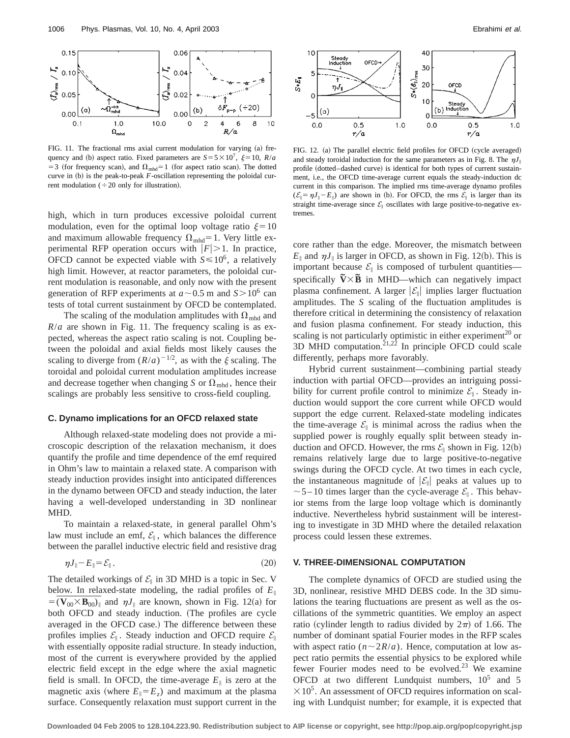

FIG. 11. The fractional rms axial current modulation for varying (a) frequency and (b) aspect ratio. Fixed parameters are  $S = 5 \times 10^7$ ,  $\xi = 10$ ,  $R/a$ = 3 (for frequency scan), and  $\Omega_{mhd}$ = 1 (for aspect ratio scan). The dotted curve in  $(b)$  is the peak-to-peak  $F$ -oscillation representing the poloidal current modulation ( $\div 20$  only for illustration).

high, which in turn produces excessive poloidal current modulation, even for the optimal loop voltage ratio  $\xi=10$ and maximum allowable frequency  $\Omega_{\text{mhd}}=1$ . Very little experimental RFP operation occurs with  $|F| > 1$ . In practice, OFCD cannot be expected viable with  $S \le 10^6$ , a relatively high limit. However, at reactor parameters, the poloidal current modulation is reasonable, and only now with the present generation of RFP experiments at  $a \sim 0.5$  m and  $S > 10^6$  can tests of total current sustainment by OFCD be contemplated.

The scaling of the modulation amplitudes with  $\Omega_{mhd}$  and  $R/a$  are shown in Fig. 11. The frequency scaling is as expected, whereas the aspect ratio scaling is not. Coupling between the poloidal and axial fields most likely causes the scaling to diverge from  $(R/a)^{-1/2}$ , as with the  $\xi$  scaling. The toroidal and poloidal current modulation amplitudes increase and decrease together when changing *S* or  $\Omega_{\text{mhd}}$ , hence their scalings are probably less sensitive to cross-field coupling.

#### **C. Dynamo implications for an OFCD relaxed state**

Although relaxed-state modeling does not provide a microscopic description of the relaxation mechanism, it does quantify the profile and time dependence of the emf required in Ohm's law to maintain a relaxed state. A comparison with steady induction provides insight into anticipated differences in the dynamo between OFCD and steady induction, the later having a well-developed understanding in 3D nonlinear MHD.

To maintain a relaxed-state, in general parallel Ohm's law must include an emf,  $\mathcal{E}_{\parallel}$ , which balances the difference between the parallel inductive electric field and resistive drag

$$
\eta J_{\parallel} - E_{\parallel} = \mathcal{E}_{\parallel} \,. \tag{20}
$$

The detailed workings of  $\mathcal{E}_{\parallel}$  in 3D MHD is a topic in Sec. V below. In relaxed-state modeling, the radial profiles of  $E_{\parallel}$  $=$  ( $\mathbf{V}_{00} \times \mathbf{B}_{00}$ )<sub>||</sub> and  $\eta J$ <sub>||</sub> are known, shown in Fig. 12(a) for both OFCD and steady induction. (The profiles are cycle averaged in the OFCD case.) The difference between these profiles implies  $\mathcal{E}_{\parallel}$ . Steady induction and OFCD require  $\mathcal{E}_{\parallel}$ with essentially opposite radial structure. In steady induction, most of the current is everywhere provided by the applied electric field except in the edge where the axial magnetic field is small. In OFCD, the time-average  $E_{\parallel}$  is zero at the magnetic axis (where  $E_{\parallel} = E_z$ ) and maximum at the plasma surface. Consequently relaxation must support current in the



FIG. 12. (a) The parallel electric field profiles for OFCD (cycle averaged) and steady toroidal induction for the same parameters as in Fig. 8. The  $\eta J_{\parallel}$ profile (dotted–dashed curve) is identical for both types of current sustainment, i.e., the OFCD time-average current equals the steady-induction dc current in this comparison. The implied rms time-average dynamo profiles  $(\mathcal{E}_{\parallel} = \eta J_{\parallel} - E_{\parallel})$  are shown in (b). For OFCD, the rms  $\mathcal{E}_{\parallel}$  is larger than its straight time-average since  $\mathcal{E}_{\parallel}$  oscillates with large positive-to-negative extremes.

core rather than the edge. Moreover, the mismatch between  $E_{\parallel}$  and  $\eta J_{\parallel}$  is larger in OFCD, as shown in Fig. 12(b). This is important because  $\mathcal{E}_{\parallel}$  is composed of turbulent quantities specifically  $\tilde{V} \times \tilde{B}$  in MHD—which can negatively impact plasma confinement. A larger  $|\mathcal{E}_{\parallel}|$  implies larger fluctuation amplitudes. The *S* scaling of the fluctuation amplitudes is therefore critical in determining the consistency of relaxation and fusion plasma confinement. For steady induction, this scaling is not particularly optimistic in either experiment<sup>20</sup> or 3D MHD computation.<sup>21,22</sup> In principle OFCD could scale differently, perhaps more favorably.

Hybrid current sustainment—combining partial steady induction with partial OFCD—provides an intriguing possibility for current profile control to minimize  $\mathcal{E}_{\parallel}$ . Steady induction would support the core current while OFCD would support the edge current. Relaxed-state modeling indicates the time-average  $\mathcal{E}_{\parallel}$  is minimal across the radius when the supplied power is roughly equally split between steady induction and OFCD. However, the rms  $\mathcal{E}_{\parallel}$  shown in Fig. 12(b) remains relatively large due to large positive-to-negative swings during the OFCD cycle. At two times in each cycle, the instantaneous magnitude of  $|\mathcal{E}_{\parallel}|$  peaks at values up to  $\sim$  5 – 10 times larger than the cycle-average  $\mathcal{E}_{\parallel}$ . This behavior stems from the large loop voltage which is dominantly inductive. Nevertheless hybrid sustainment will be interesting to investigate in 3D MHD where the detailed relaxation process could lessen these extremes.

#### **V. THREE-DIMENSIONAL COMPUTATION**

The complete dynamics of OFCD are studied using the 3D, nonlinear, resistive MHD DEBS code. In the 3D simulations the tearing fluctuations are present as well as the oscillations of the symmetric quantities. We employ an aspect ratio (cylinder length to radius divided by  $2\pi$ ) of 1.66. The number of dominant spatial Fourier modes in the RFP scales with aspect ratio ( $n \sim 2R/a$ ). Hence, computation at low aspect ratio permits the essential physics to be explored while fewer Fourier modes need to be evolved.<sup>23</sup> We examine OFCD at two different Lundquist numbers,  $10^5$  and 5  $\times 10^5$ . An assessment of OFCD requires information on scaling with Lundquist number; for example, it is expected that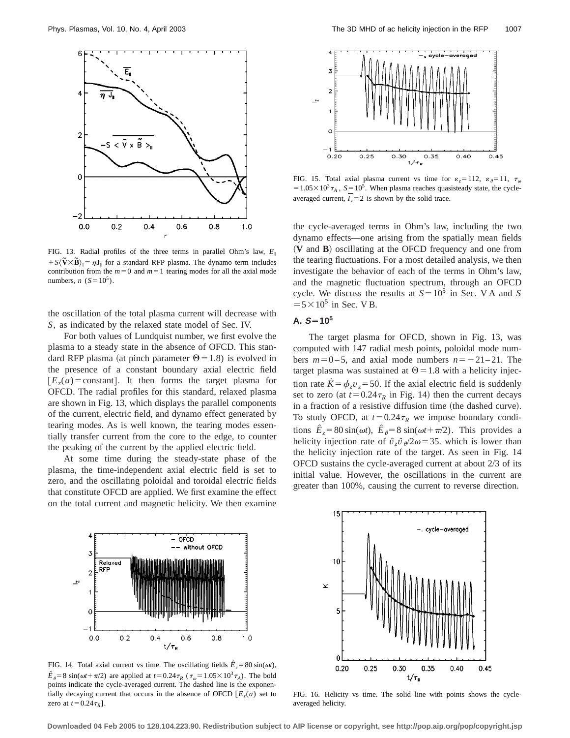

FIG. 13. Radial profiles of the three terms in parallel Ohm's law,  $E_{\parallel}$  $+ S(\tilde{V} \times \tilde{B})_{\parallel} = \eta J_{\parallel}$  for a standard RFP plasma. The dynamo term includes contribution from the  $m=0$  and  $m=1$  tearing modes for all the axial mode numbers,  $n (S=10^5)$ .

the oscillation of the total plasma current will decrease with *S*, as indicated by the relaxed state model of Sec. IV.

For both values of Lundquist number, we first evolve the plasma to a steady state in the absence of OFCD. This standard RFP plasma (at pinch parameter  $\Theta$  = 1.8) is evolved in the presence of a constant boundary axial electric field  $[E_z(a) = \text{constant}]$ . It then forms the target plasma for OFCD. The radial profiles for this standard, relaxed plasma are shown in Fig. 13, which displays the parallel components of the current, electric field, and dynamo effect generated by tearing modes. As is well known, the tearing modes essentially transfer current from the core to the edge, to counter the peaking of the current by the applied electric field.

At some time during the steady-state phase of the plasma, the time-independent axial electric field is set to zero, and the oscillating poloidal and toroidal electric fields that constitute OFCD are applied. We first examine the effect on the total current and magnetic helicity. We then examine



FIG. 15. Total axial plasma current vs time for  $\varepsilon_z = 112$ ,  $\varepsilon_{\theta} = 11$ ,  $\tau_{\omega}$  $=1.05\times10^{3}\tau_{A}$ ,  $S=10^{5}$ . When plasma reaches quasisteady state, the cycleaveraged current,  $I_z = 2$  is shown by the solid trace.

the cycle-averaged terms in Ohm's law, including the two dynamo effects—one arising from the spatially mean fields ~**V** and **B**! oscillating at the OFCD frequency and one from the tearing fluctuations. For a most detailed analysis, we then investigate the behavior of each of the terms in Ohm's law, and the magnetic fluctuation spectrum, through an OFCD cycle. We discuss the results at  $S=10^5$  in Sec. V A and *S*  $=$  5  $\times$  10<sup>5</sup> in Sec. V B.

# $A. S = 10^5$

The target plasma for OFCD, shown in Fig. 13, was computed with 147 radial mesh points, poloidal mode numbers  $m=0-5$ , and axial mode numbers  $n=-21-21$ . The target plasma was sustained at  $\Theta$  = 1.8 with a helicity injection rate  $\dot{K} = \phi_z v_z = 50$ . If the axial electric field is suddenly set to zero (at  $t=0.24\tau_R$  in Fig. 14) then the current decays in a fraction of a resistive diffusion time (the dashed curve). To study OFCD, at  $t=0.24\tau_R$  we impose boundary conditions  $\hat{E}_z = 80 \sin(\omega t)$ ,  $\hat{E}_{\theta} = 8 \sin(\omega t + \pi/2)$ . This provides a helicity injection rate of  $\hat{v}_z \hat{v}_z/2\omega = 35$ . which is lower than the helicity injection rate of the target. As seen in Fig. 14 OFCD sustains the cycle-averaged current at about 2/3 of its initial value. However, the oscillations in the current are greater than 100%, causing the current to reverse direction.



FIG. 14. Total axial current vs time. The oscillating fields  $\hat{E}_z = 80 \sin(\omega t)$ ,  $\hat{E}_{\theta}$ =8 sin( $\omega t + \pi/2$ ) are applied at  $t = 0.24 \tau_R$  ( $\tau_{\omega} = 1.05 \times 10^3 \tau_A$ ). The bold points indicate the cycle-averaged current. The dashed line is the exponentially decaying current that occurs in the absence of OFCD  $E<sub>z</sub>(a)$  set to zero at  $t=0.24\tau_R$ ].



FIG. 16. Helicity vs time. The solid line with points shows the cycleaveraged helicity.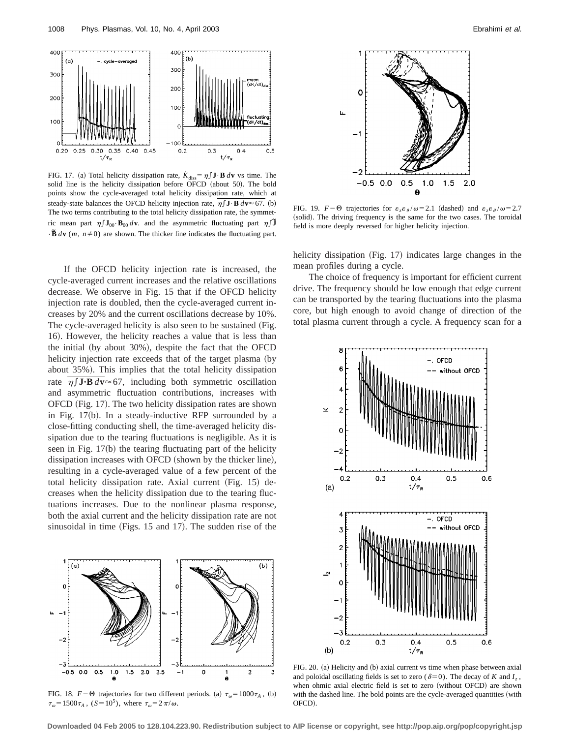

FIG. 17. (a) Total helicity dissipation rate,  $\dot{K}_{diss} = \eta \int \mathbf{J} \cdot \mathbf{B} \, d\mathbf{v}$  vs time. The solid line is the helicity dissipation before OFCD (about 50). The bold points show the cycle-averaged total helicity dissipation rate, which at steady-state balances the OFCD helicity injection rate,  $\eta \int \mathbf{J} \cdot \mathbf{B} d\mathbf{v} \approx 67$ . (b) The two terms contributing to the total helicity dissipation rate, the symmetric mean part  $\eta \int \mathbf{J}_{00} \cdot \mathbf{B}_{00} d\mathbf{v}$  and the asymmetric fluctuating part  $\eta \int \tilde{\mathbf{J}}$  $\cdot \mathbf{\tilde{B}}$  *d***v** (*m*, *n* $\neq$  0) are shown. The thicker line indicates the fluctuating part.

If the OFCD helicity injection rate is increased, the cycle-averaged current increases and the relative oscillations decrease. We observe in Fig. 15 that if the OFCD helicity injection rate is doubled, then the cycle-averaged current increases by 20% and the current oscillations decrease by 10%. The cycle-averaged helicity is also seen to be sustained (Fig. 16). However, the helicity reaches a value that is less than the initial (by about  $30\%$ ), despite the fact that the OFCD helicity injection rate exceeds that of the target plasma (by about 35%). This implies that the total helicity dissipation rate  $\eta \int \mathbf{J} \cdot \mathbf{B} d\mathbf{v} \approx 67$ , including both symmetric oscillation and asymmetric fluctuation contributions, increases with OFCD (Fig. 17). The two helicity dissipation rates are shown in Fig.  $17(b)$ . In a steady-inductive RFP surrounded by a close-fitting conducting shell, the time-averaged helicity dissipation due to the tearing fluctuations is negligible. As it is seen in Fig.  $17(b)$  the tearing fluctuating part of the helicity dissipation increases with OFCD (shown by the thicker line), resulting in a cycle-averaged value of a few percent of the total helicity dissipation rate. Axial current (Fig. 15) decreases when the helicity dissipation due to the tearing fluctuations increases. Due to the nonlinear plasma response, both the axial current and the helicity dissipation rate are not sinusoidal in time (Figs.  $15$  and  $17$ ). The sudden rise of the



FIG. 18.  $F-\Theta$  trajectories for two different periods. (a)  $\tau_{\omega}=1000\tau_{A}$ , (b)  $\tau_{\omega}$ =1500 $\tau_A$ , (*S*=10<sup>5</sup>), where  $\tau_{\omega}$ =2 $\pi/\omega$ .



FIG. 19.  $F-\Theta$  trajectories for  $\varepsilon_z \varepsilon_\theta/\omega = 2.1$  (dashed) and  $\varepsilon_z \varepsilon_\theta/\omega = 2.7$ (solid). The driving frequency is the same for the two cases. The toroidal field is more deeply reversed for higher helicity injection.

helicity dissipation  $(Fig. 17)$  indicates large changes in the mean profiles during a cycle.

The choice of frequency is important for efficient current drive. The frequency should be low enough that edge current can be transported by the tearing fluctuations into the plasma core, but high enough to avoid change of direction of the total plasma current through a cycle. A frequency scan for a



FIG. 20. (a) Helicity and (b) axial current vs time when phase between axial and poloidal oscillating fields is set to zero ( $\delta$ =0). The decay of *K* and *I<sub>z</sub>*, when ohmic axial electric field is set to zero (without OFCD) are shown with the dashed line. The bold points are the cycle-averaged quantities (with OFCD!.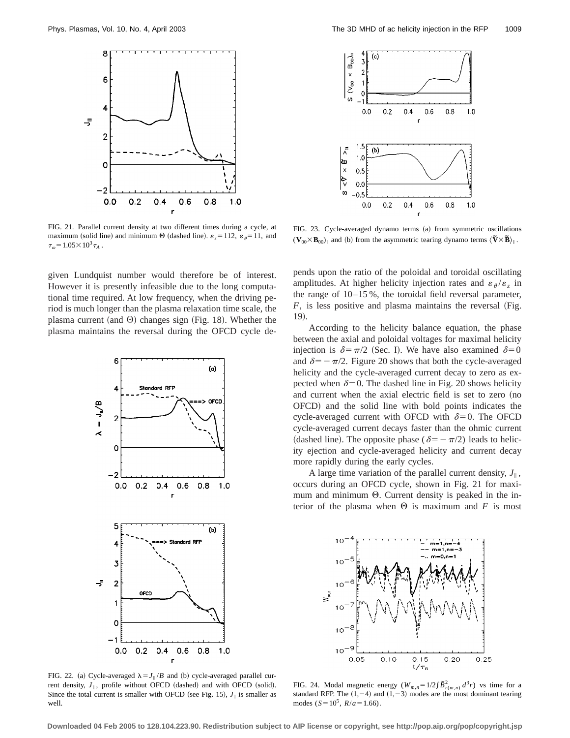

FIG. 21. Parallel current density at two different times during a cycle, at maximum (solid line) and minimum  $\Theta$  (dashed line).  $\varepsilon_z = 112$ ,  $\varepsilon_{\theta} = 11$ , and  $\tau_{\omega}$ =1.05×10<sup>3</sup> $\tau_{A}$ .

given Lundquist number would therefore be of interest. However it is presently infeasible due to the long computational time required. At low frequency, when the driving period is much longer than the plasma relaxation time scale, the plasma current (and  $\Theta$ ) changes sign (Fig. 18). Whether the plasma maintains the reversal during the OFCD cycle de-



FIG. 22. (a) Cycle-averaged  $\lambda = J_{\parallel}/B$  and (b) cycle-averaged parallel current density,  $J_{\parallel}$ , profile without OFCD (dashed) and with OFCD (solid). Since the total current is smaller with OFCD (see Fig. 15),  $J_{\parallel}$  is smaller as well.



FIG. 23. Cycle-averaged dynamo terms (a) from symmetric oscillations  $(\mathbf{V}_{00} \times \mathbf{B}_{00})_{\parallel}$  and (b) from the asymmetric tearing dynamo terms  $\langle \nabla \times \mathbf{B} \rangle_{\parallel}$ .

pends upon the ratio of the poloidal and toroidal oscillating amplitudes. At higher helicity injection rates and  $\varepsilon_{\theta}/\varepsilon_{7}$  in the range of 10–15 %, the toroidal field reversal parameter,  $F$ , is less positive and plasma maintains the reversal (Fig. 19).

According to the helicity balance equation, the phase between the axial and poloidal voltages for maximal helicity injection is  $\delta = \pi/2$  (Sec. I). We have also examined  $\delta = 0$ and  $\delta = -\pi/2$ . Figure 20 shows that both the cycle-averaged helicity and the cycle-averaged current decay to zero as expected when  $\delta$ =0. The dashed line in Fig. 20 shows helicity and current when the axial electric field is set to zero (no OFCD! and the solid line with bold points indicates the cycle-averaged current with OFCD with  $\delta=0$ . The OFCD cycle-averaged current decays faster than the ohmic current (dashed line). The opposite phase ( $\delta = -\pi/2$ ) leads to helicity ejection and cycle-averaged helicity and current decay more rapidly during the early cycles.

A large time variation of the parallel current density,  $J_{\parallel}$ , occurs during an OFCD cycle, shown in Fig. 21 for maximum and minimum  $\Theta$ . Current density is peaked in the interior of the plasma when  $\Theta$  is maximum and *F* is most



FIG. 24. Modal magnetic energy  $(W_{m,n}=1/2\int \tilde{B}_{r(m,n)}^2 d^3r)$  vs time for a standard RFP. The  $(1,-4)$  and  $(1,-3)$  modes are the most dominant tearing modes ( $S = 10^5$ ,  $R/a = 1.66$ ).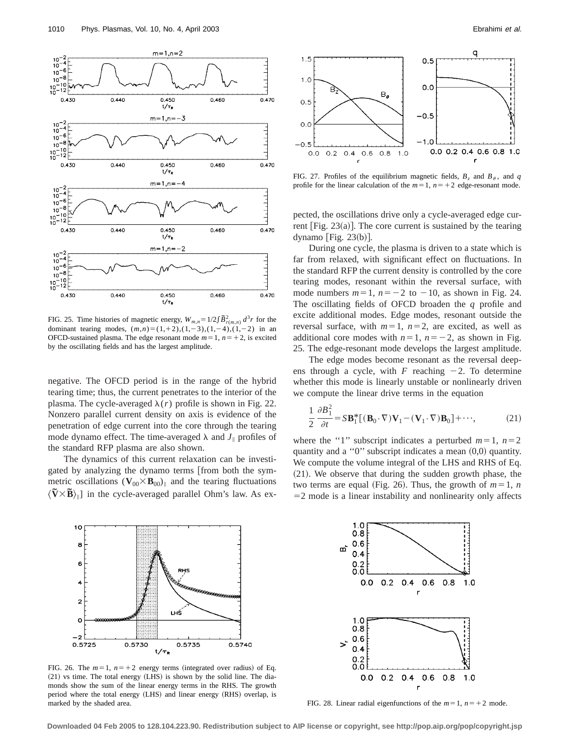

FIG. 25. Time histories of magnetic energy,  $W_{m,n}=1/2\int \tilde{B}_{r(m,n)}^2 d^3r$  for the dominant tearing modes,  $(m,n)=(1,1,2),(1,-3),(1,-4),(1,-2)$  in an OFCD-sustained plasma. The edge resonant mode  $m=1$ ,  $n=+2$ , is excited by the oscillating fields and has the largest amplitude.

negative. The OFCD period is in the range of the hybrid tearing time; thus, the current penetrates to the interior of the plasma. The cycle-averaged  $\lambda(r)$  profile is shown in Fig. 22. Nonzero parallel current density on axis is evidence of the penetration of edge current into the core through the tearing mode dynamo effect. The time-averaged  $\lambda$  and  $J_{\parallel}$  profiles of the standard RFP plasma are also shown.

The dynamics of this current relaxation can be investigated by analyzing the dynamo terms [from both the symmetric oscillations  $(\mathbf{V}_{00} \times \mathbf{B}_{00})_{\parallel}$  and the tearing fluctuations  $\langle \nabla \times \vec{B} \rangle_{\parallel}$  in the cycle-averaged parallel Ohm's law. As ex-



FIG. 26. The  $m=1$ ,  $n=+2$  energy terms (integrated over radius) of Eq.  $(21)$  vs time. The total energy  $(LHS)$  is shown by the solid line. The diamonds show the sum of the linear energy terms in the RHS. The growth period where the total energy (LHS) and linear energy (RHS) overlap, is marked by the shaded area.



FIG. 27. Profiles of the equilibrium magnetic fields,  $B_z$  and  $B_\theta$ , and *q* profile for the linear calculation of the  $m=1$ ,  $n=+2$  edge-resonant mode.

pected, the oscillations drive only a cycle-averaged edge current [Fig.  $23(a)$ ]. The core current is sustained by the tearing dynamo  $|Fig. 23(b)|$ .

During one cycle, the plasma is driven to a state which is far from relaxed, with significant effect on fluctuations. In the standard RFP the current density is controlled by the core tearing modes, resonant within the reversal surface, with mode numbers  $m=1$ ,  $n=-2$  to  $-10$ , as shown in Fig. 24. The oscillating fields of OFCD broaden the *q* profile and excite additional modes. Edge modes, resonant outside the reversal surface, with  $m=1$ ,  $n=2$ , are excited, as well as additional core modes with  $n=1$ ,  $n=-2$ , as shown in Fig. 25. The edge-resonant mode develops the largest amplitude.

The edge modes become resonant as the reversal deepens through a cycle, with *F* reaching  $-2$ . To determine whether this mode is linearly unstable or nonlinearly driven we compute the linear drive terms in the equation

$$
\frac{1}{2} \frac{\partial B_1^2}{\partial t} = S \mathbf{B}_1^* [(\mathbf{B}_0 \cdot \nabla) \mathbf{V}_1 - (\mathbf{V}_1 \cdot \nabla) \mathbf{B}_0] + \cdots,
$$
 (21)

where the "1" subscript indicates a perturbed  $m=1$ ,  $n=2$ quantity and a " $0$ " subscript indicates a mean  $(0,0)$  quantity. We compute the volume integral of the LHS and RHS of Eq.  $(21)$ . We observe that during the sudden growth phase, the two terms are equal (Fig. 26). Thus, the growth of  $m=1$ , *n*  $=$  2 mode is a linear instability and nonlinearity only affects



FIG. 28. Linear radial eigenfunctions of the  $m=1$ ,  $n=+2$  mode.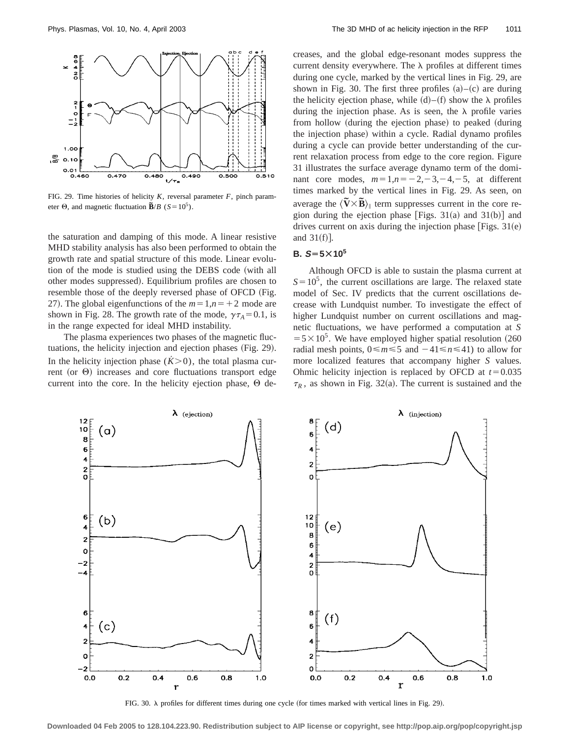

FIG. 29. Time histories of helicity *K*, reversal parameter *F*, pinch parameter  $\Theta$ , and magnetic fluctuation  $\tilde{\mathbf{B}}/B$  (*S*=10<sup>5</sup>).

the saturation and damping of this mode. A linear resistive MHD stability analysis has also been performed to obtain the growth rate and spatial structure of this mode. Linear evolution of the mode is studied using the DEBS code (with all other modes suppressed). Equilibrium profiles are chosen to resemble those of the deeply reversed phase of OFCD (Fig. 27). The global eigenfunctions of the  $m=1, n=+2$  mode are shown in Fig. 28. The growth rate of the mode,  $\gamma \tau_A = 0.1$ , is in the range expected for ideal MHD instability.

The plasma experiences two phases of the magnetic fluctuations, the helicity injection and ejection phases (Fig. 29). In the helicity injection phase  $(K>0)$ , the total plasma current (or  $\Theta$ ) increases and core fluctuations transport edge current into the core. In the helicity ejection phase,  $\Theta$  decreases, and the global edge-resonant modes suppress the current density everywhere. The  $\lambda$  profiles at different times during one cycle, marked by the vertical lines in Fig. 29, are shown in Fig. 30. The first three profiles  $(a)$ – $(c)$  are during the helicity ejection phase, while  $(d)$ – $(f)$  show the  $\lambda$  profiles during the injection phase. As is seen, the  $\lambda$  profile varies from hollow (during the ejection phase) to peaked (during the injection phase) within a cycle. Radial dynamo profiles during a cycle can provide better understanding of the current relaxation process from edge to the core region. Figure 31 illustrates the surface average dynamo term of the dominant core modes,  $m=1, n=-2, -3, -4, -5$ , at different times marked by the vertical lines in Fig. 29. As seen, on average the  $\langle \tilde{\mathbf{V}} \times \tilde{\mathbf{B}} \rangle_{\parallel}$  term suppresses current in the core region during the ejection phase [Figs.  $31(a)$  and  $31(b)$ ] and drives current on axis during the injection phase [Figs.  $31(e)$ ] and  $31(f)$ ].

# **B.**  $S = 5 \times 10^5$

Although OFCD is able to sustain the plasma current at  $S=10^5$ , the current oscillations are large. The relaxed state model of Sec. IV predicts that the current oscillations decrease with Lundquist number. To investigate the effect of higher Lundquist number on current oscillations and magnetic fluctuations, we have performed a computation at *S*  $=5\times10^{5}$ . We have employed higher spatial resolution (260) radial mesh points,  $0 \le m \le 5$  and  $-41 \le n \le 41$ ) to allow for more localized features that accompany higher *S* values. Ohmic helicity injection is replaced by OFCD at  $t=0.035$  $\tau_R$ , as shown in Fig. 32(a). The current is sustained and the



FIG. 30.  $\lambda$  profiles for different times during one cycle (for times marked with vertical lines in Fig. 29).

**Downloaded 04 Feb 2005 to 128.104.223.90. Redistribution subject to AIP license or copyright, see http://pop.aip.org/pop/copyright.jsp**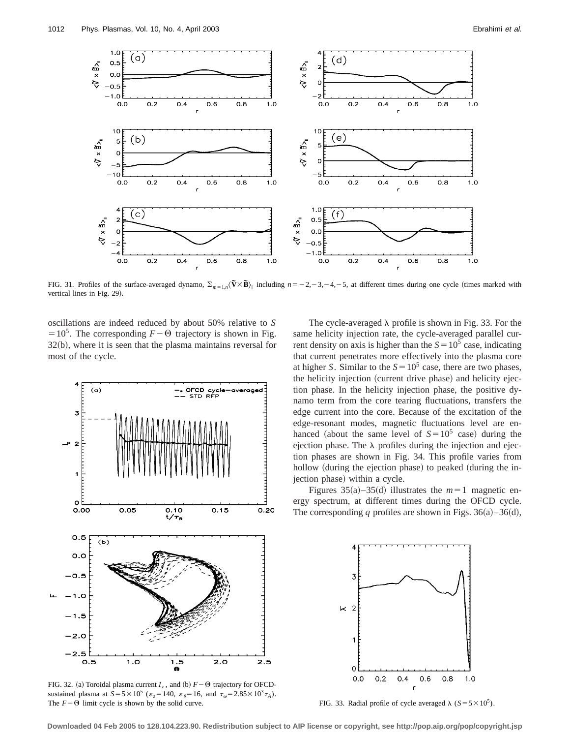

FIG. 31. Profiles of the surface-averaged dynamo,  $\sum_{m=1}^{n} \left(\tilde{\mathbf{V}} \times \tilde{\mathbf{B}}\right)_{\parallel}$  including  $n=-2, -3, -4, -5$ , at different times during one cycle (times marked with vertical lines in Fig. 29).

oscillations are indeed reduced by about 50% relative to *S*  $=10^5$ . The corresponding  $F-\Theta$  trajectory is shown in Fig.  $32(b)$ , where it is seen that the plasma maintains reversal for most of the cycle.



FIG. 32. (a) Toroidal plasma current  $I_z$ , and (b)  $F-\Theta$  trajectory for OFCDsustained plasma at  $S = 5 \times 10^5$  ( $\varepsilon_z = 140$ ,  $\varepsilon_{\theta} = 16$ , and  $\tau_{\omega} = 2.85 \times 10^3 \tau_A$ ).<br>The  $F - \Theta$  limit cycle is shown by the solid curve.

The cycle-averaged  $\lambda$  profile is shown in Fig. 33. For the same helicity injection rate, the cycle-averaged parallel current density on axis is higher than the  $S = 10^5$  case, indicating that current penetrates more effectively into the plasma core at higher *S*. Similar to the  $S = 10^5$  case, there are two phases, the helicity injection (current drive phase) and helicity ejection phase. In the helicity injection phase, the positive dynamo term from the core tearing fluctuations, transfers the edge current into the core. Because of the excitation of the edge-resonant modes, magnetic fluctuations level are enhanced (about the same level of  $S=10^5$  case) during the ejection phase. The  $\lambda$  profiles during the injection and ejection phases are shown in Fig. 34. This profile varies from hollow (during the ejection phase) to peaked (during the injection phase) within a cycle.

Figures  $35(a) - 35(d)$  illustrates the  $m=1$  magnetic energy spectrum, at different times during the OFCD cycle. The corresponding *q* profiles are shown in Figs. 36(a)–36(d),



FIG. 33. Radial profile of cycle averaged  $\lambda$  (*S*=5×10<sup>5</sup>).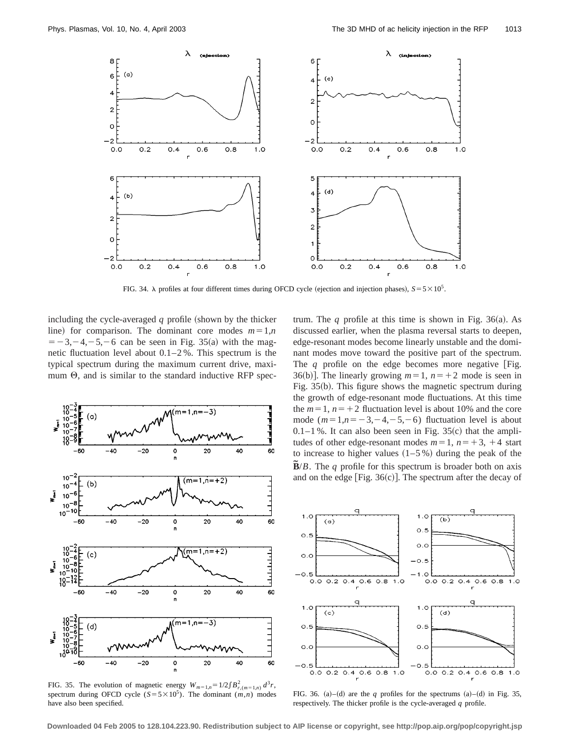

FIG. 34.  $\lambda$  profiles at four different times during OFCD cycle (ejection and injection phases),  $S = 5 \times 10^5$ .

including the cycle-averaged  $q$  profile (shown by the thicker line) for comparison. The dominant core modes  $m=1,n$  $=$  -3, -4, -5, -6 can be seen in Fig. 35(a) with the magnetic fluctuation level about 0.1–2 %. This spectrum is the typical spectrum during the maximum current drive, maximum  $\Theta$ , and is similar to the standard inductive RFP spec-



FIG. 35. The evolution of magnetic energy  $W_{m=1,n}=1/2\int B_{r,(m=1,n)}^2 d^3r$ , spectrum during OFCD cycle  $(S = 5 \times 10^5)$ . The dominant  $(m,n)$  modes have also been specified.

trum. The  $q$  profile at this time is shown in Fig. 36(a). As discussed earlier, when the plasma reversal starts to deepen, edge-resonant modes become linearly unstable and the dominant modes move toward the positive part of the spectrum. The  $q$  profile on the edge becomes more negative [Fig. 36(b)]. The linearly growing  $m=1$ ,  $n=+2$  mode is seen in Fig.  $35(b)$ . This figure shows the magnetic spectrum during the growth of edge-resonant mode fluctuations. At this time the  $m=1$ ,  $n=+2$  fluctuation level is about 10% and the core mode  $(m=1,n=-3,-4,-5,-6)$  fluctuation level is about  $0.1-1$  %. It can also been seen in Fig. 35(c) that the amplitudes of other edge-resonant modes  $m=1$ ,  $n=+3$ ,  $+4$  start to increase to higher values  $(1–5%)$  during the peak of the  $\mathbf{\tilde{B}}/B$ . The *q* profile for this spectrum is broader both on axis and on the edge [Fig.  $36(c)$ ]. The spectrum after the decay of



FIG. 36. (a)–(d) are the  $q$  profiles for the spectrums (a)–(d) in Fig. 35, respectively. The thicker profile is the cycle-averaged *q* profile.